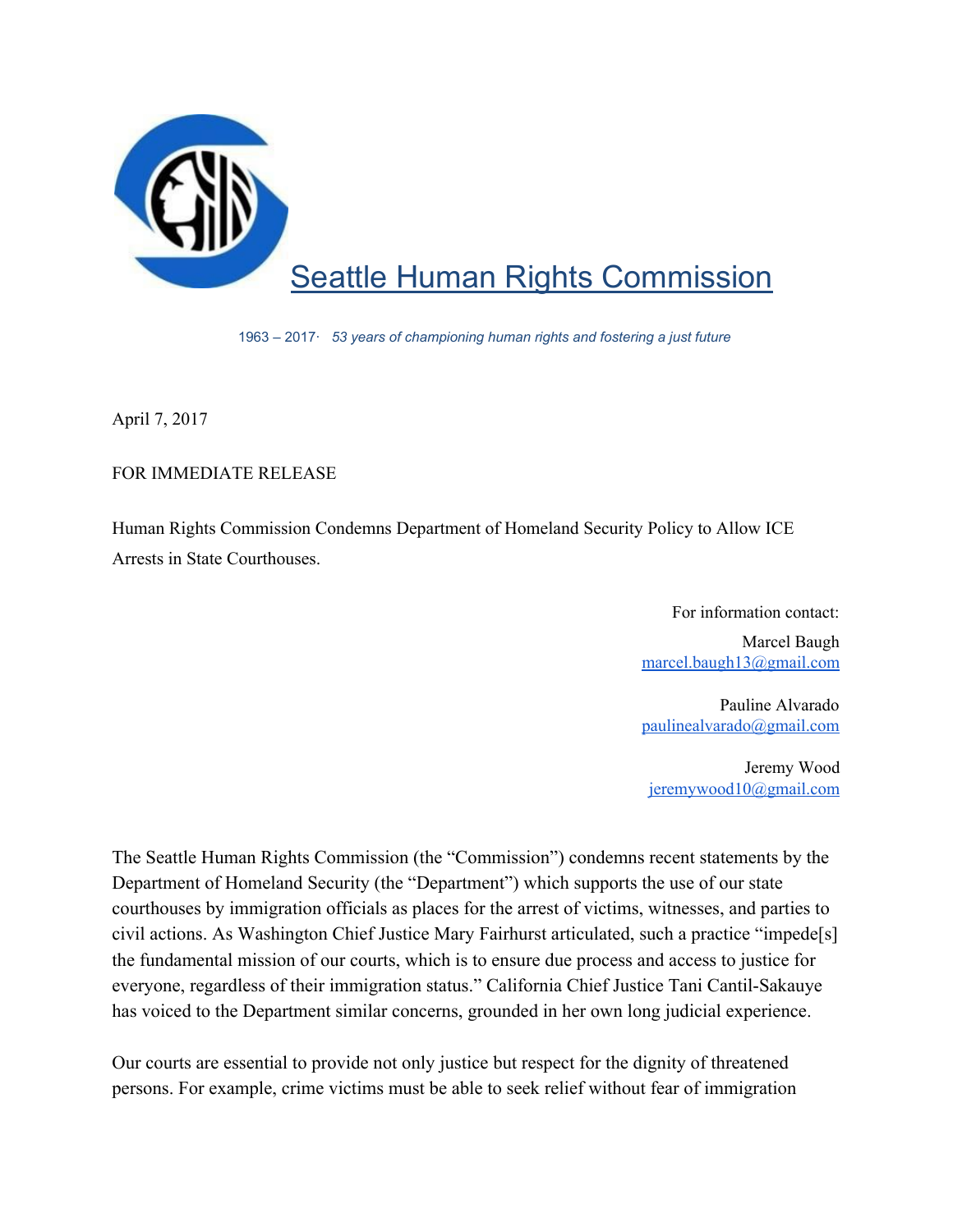

1963 – 2017· *53 years of championing human rights and fostering a just future*

April 7, 2017

## FOR IMMEDIATE RELEASE

Human Rights Commission Condemns Department of Homeland Security Policy to Allow ICE Arrests in State Courthouses.

For information contact:

Marcel Baugh [marcel.baugh13@gmail.com](mailto:marcel.baugh13@gmail.com)

Pauline Alvarado [paulinealvarado@gmail.com](mailto:paulinealvarado@gmail.com)

Jeremy Wood jeremywood10@gmail.com

The Seattle Human Rights Commission (the "Commission") condemns recent statements by the Department of Homeland Security (the "Department") which supports the use of our state courthouses by immigration officials as places for the arrest of victims, witnesses, and parties to civil actions. As Washington Chief Justice Mary Fairhurst articulated, such a practice "impede[s] the fundamental mission of our courts, which is to ensure due process and access to justice for everyone, regardless of their immigration status." California Chief Justice Tani Cantil-Sakauye has voiced to the Department similar concerns, grounded in her own long judicial experience.

Our courts are essential to provide not only justice but respect for the dignity of threatened persons. For example, crime victims must be able to seek relief without fear of immigration